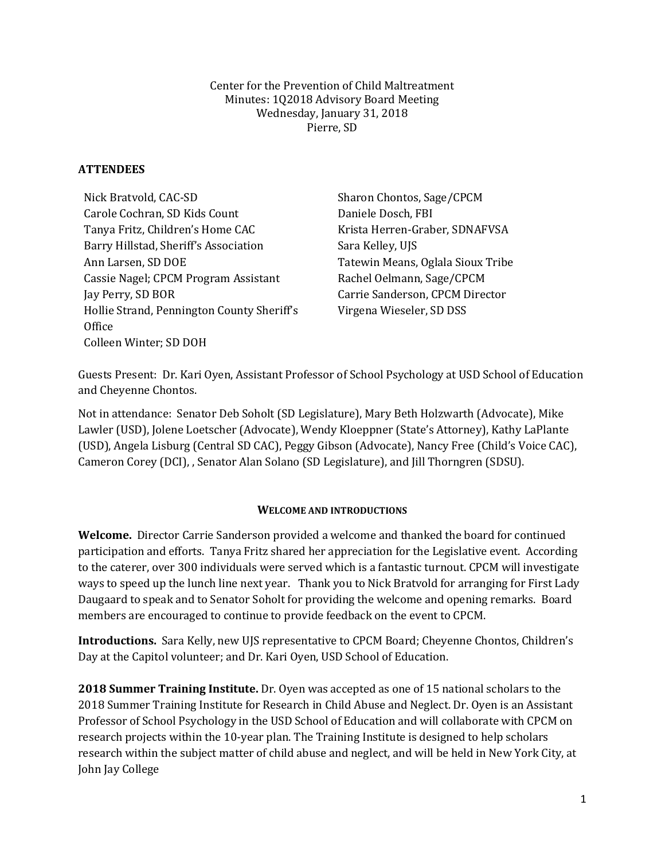Center for the Prevention of Child Maltreatment Minutes: 1Q2018 Advisory Board Meeting Wednesday, January 31, 2018 Pierre, SD

## **ATTENDEES**

Nick Bratvold, CAC-SD Sharon Chontos, Sage/CPCM Carole Cochran, SD Kids Count Daniele Dosch, FBI Tanya Fritz, Children's Home CAC Krista Herren-Graber, SDNAFVSA Barry Hillstad, Sheriff's Association Sara Kelley, UJS Ann Larsen, SD DOE Tatewin Means, Oglala Sioux Tribe Cassie Nagel; CPCM Program Assistant Rachel Oelmann, Sage/CPCM Jay Perry, SD BOR Carrie Sanderson, CPCM Director Hollie Strand, Pennington County Sheriff's **Office** Colleen Winter; SD DOH

Virgena Wieseler, SD DSS

Guests Present: Dr. Kari Oyen, Assistant Professor of School Psychology at USD School of Education and Cheyenne Chontos.

Not in attendance: Senator Deb Soholt (SD Legislature), Mary Beth Holzwarth (Advocate), Mike Lawler (USD), Jolene Loetscher (Advocate), Wendy Kloeppner (State's Attorney), Kathy LaPlante (USD), Angela Lisburg (Central SD CAC), Peggy Gibson (Advocate), Nancy Free (Child's Voice CAC), Cameron Corey (DCI), , Senator Alan Solano (SD Legislature), and Jill Thorngren (SDSU).

## **WELCOME AND INTRODUCTIONS**

**Welcome.** Director Carrie Sanderson provided a welcome and thanked the board for continued participation and efforts. Tanya Fritz shared her appreciation for the Legislative event. According to the caterer, over 300 individuals were served which is a fantastic turnout. CPCM will investigate ways to speed up the lunch line next year. Thank you to Nick Bratvold for arranging for First Lady Daugaard to speak and to Senator Soholt for providing the welcome and opening remarks. Board members are encouraged to continue to provide feedback on the event to CPCM.

**Introductions.** Sara Kelly, new UJS representative to CPCM Board; Cheyenne Chontos, Children's Day at the Capitol volunteer; and Dr. Kari Oyen, USD School of Education.

**2018 Summer Training Institute.** Dr. Oyen was accepted as one of 15 national scholars to the 2018 Summer Training Institute for Research in Child Abuse and Neglect. Dr. Oyen is an Assistant Professor of School Psychology in the USD School of Education and will collaborate with CPCM on research projects within the 10-year plan. The Training Institute is designed to help scholars research within the subject matter of child abuse and neglect, and will be held in New York City, at John Jay College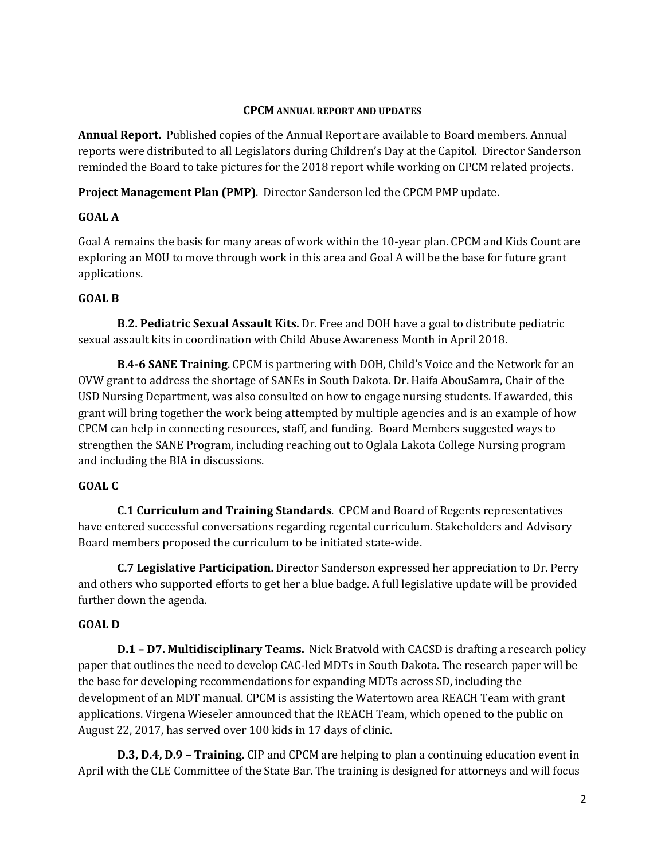### **CPCM ANNUAL REPORT AND UPDATES**

**Annual Report.**Published copies of the Annual Report are available to Board members. Annual reports were distributed to all Legislators during Children's Day at the Capitol. Director Sanderson reminded the Board to take pictures for the 2018 report while working on CPCM related projects.

**Project Management Plan (PMP)**. Director Sanderson led the CPCM PMP update.

# **GOAL A**

Goal A remains the basis for many areas of work within the 10-year plan. CPCM and Kids Count are exploring an MOU to move through work in this area and Goal A will be the base for future grant applications.

# **GOAL B**

**B.2. Pediatric Sexual Assault Kits.** Dr. Free and DOH have a goal to distribute pediatric sexual assault kits in coordination with Child Abuse Awareness Month in April 2018.

**B**.**4-6 SANE Training**. CPCM is partnering with DOH, Child's Voice and the Network for an OVW grant to address the shortage of SANEs in South Dakota. Dr. Haifa AbouSamra, Chair of the USD Nursing Department, was also consulted on how to engage nursing students. If awarded, this grant will bring together the work being attempted by multiple agencies and is an example of how CPCM can help in connecting resources, staff, and funding. Board Members suggested ways to strengthen the SANE Program, including reaching out to Oglala Lakota College Nursing program and including the BIA in discussions.

# **GOAL C**

**C.1 Curriculum and Training Standards**. CPCM and Board of Regents representatives have entered successful conversations regarding regental curriculum. Stakeholders and Advisory Board members proposed the curriculum to be initiated state-wide.

**C.7 Legislative Participation.** Director Sanderson expressed her appreciation to Dr. Perry and others who supported efforts to get her a blue badge. A full legislative update will be provided further down the agenda.

# **GOAL D**

**D.1 – D7. Multidisciplinary Teams.** Nick Bratvold with CACSD is drafting a research policy paper that outlines the need to develop CAC-led MDTs in South Dakota. The research paper will be the base for developing recommendations for expanding MDTs across SD, including the development of an MDT manual. CPCM is assisting the Watertown area REACH Team with grant applications. Virgena Wieseler announced that the REACH Team, which opened to the public on August 22, 2017, has served over 100 kids in 17 days of clinic.

**D.3, D.4, D.9 – Training.** CIP and CPCM are helping to plan a continuing education event in April with the CLE Committee of the State Bar. The training is designed for attorneys and will focus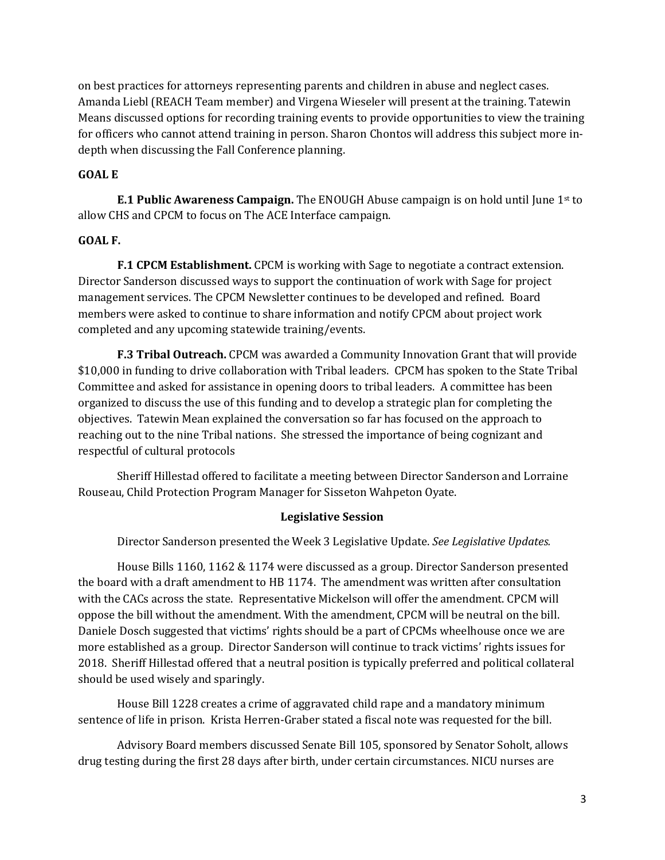on best practices for attorneys representing parents and children in abuse and neglect cases. Amanda Liebl (REACH Team member) and Virgena Wieseler will present at the training. Tatewin Means discussed options for recording training events to provide opportunities to view the training for officers who cannot attend training in person. Sharon Chontos will address this subject more indepth when discussing the Fall Conference planning.

## **GOAL E**

**E.1 Public Awareness Campaign.** The ENOUGH Abuse campaign is on hold until June 1st to allow CHS and CPCM to focus on The ACE Interface campaign.

## **GOAL F.**

**F.1 CPCM Establishment.** CPCM is working with Sage to negotiate a contract extension. Director Sanderson discussed ways to support the continuation of work with Sage for project management services. The CPCM Newsletter continues to be developed and refined. Board members were asked to continue to share information and notify CPCM about project work completed and any upcoming statewide training/events.

**F.3 Tribal Outreach.** CPCM was awarded a Community Innovation Grant that will provide \$10,000 in funding to drive collaboration with Tribal leaders. CPCM has spoken to the State Tribal Committee and asked for assistance in opening doors to tribal leaders. A committee has been organized to discuss the use of this funding and to develop a strategic plan for completing the objectives. Tatewin Mean explained the conversation so far has focused on the approach to reaching out to the nine Tribal nations. She stressed the importance of being cognizant and respectful of cultural protocols

Sheriff Hillestad offered to facilitate a meeting between Director Sanderson and Lorraine Rouseau, Child Protection Program Manager for Sisseton Wahpeton Oyate.

#### **Legislative Session**

Director Sanderson presented the Week 3 Legislative Update. *See Legislative Updates.* 

House Bills 1160, 1162 & 1174 were discussed as a group. Director Sanderson presented the board with a draft amendment to HB 1174. The amendment was written after consultation with the CACs across the state. Representative Mickelson will offer the amendment. CPCM will oppose the bill without the amendment. With the amendment, CPCM will be neutral on the bill. Daniele Dosch suggested that victims' rights should be a part of CPCMs wheelhouse once we are more established as a group. Director Sanderson will continue to track victims' rights issues for 2018. Sheriff Hillestad offered that a neutral position is typically preferred and political collateral should be used wisely and sparingly.

House Bill 1228 creates a crime of aggravated child rape and a mandatory minimum sentence of life in prison. Krista Herren-Graber stated a fiscal note was requested for the bill.

Advisory Board members discussed Senate Bill 105, sponsored by Senator Soholt, allows drug testing during the first 28 days after birth, under certain circumstances. NICU nurses are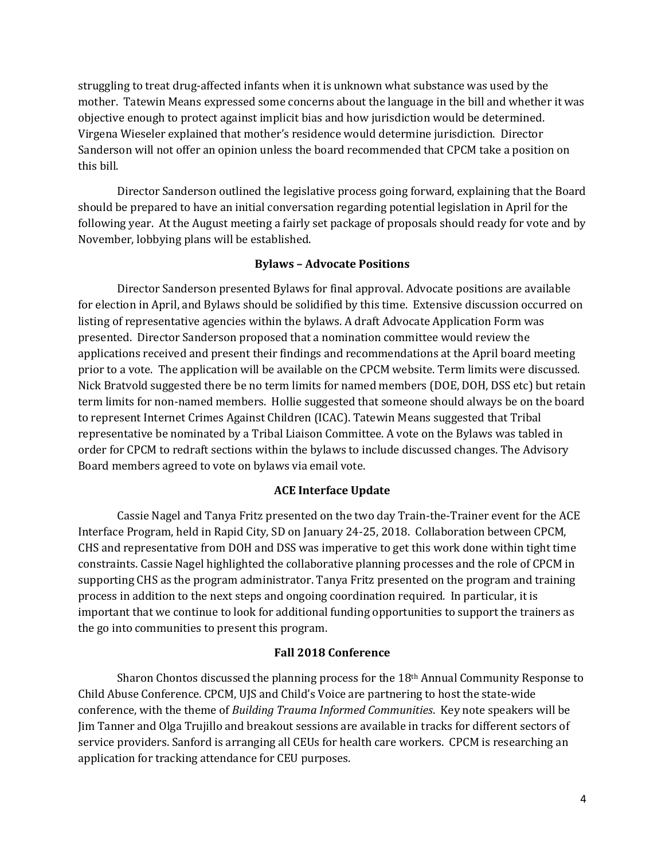struggling to treat drug-affected infants when it is unknown what substance was used by the mother. Tatewin Means expressed some concerns about the language in the bill and whether it was objective enough to protect against implicit bias and how jurisdiction would be determined. Virgena Wieseler explained that mother's residence would determine jurisdiction. Director Sanderson will not offer an opinion unless the board recommended that CPCM take a position on this bill.

Director Sanderson outlined the legislative process going forward, explaining that the Board should be prepared to have an initial conversation regarding potential legislation in April for the following year. At the August meeting a fairly set package of proposals should ready for vote and by November, lobbying plans will be established.

#### **Bylaws – Advocate Positions**

Director Sanderson presented Bylaws for final approval. Advocate positions are available for election in April, and Bylaws should be solidified by this time. Extensive discussion occurred on listing of representative agencies within the bylaws. A draft Advocate Application Form was presented. Director Sanderson proposed that a nomination committee would review the applications received and present their findings and recommendations at the April board meeting prior to a vote. The application will be available on the CPCM website. Term limits were discussed. Nick Bratvold suggested there be no term limits for named members (DOE, DOH, DSS etc) but retain term limits for non-named members. Hollie suggested that someone should always be on the board to represent Internet Crimes Against Children (ICAC). Tatewin Means suggested that Tribal representative be nominated by a Tribal Liaison Committee. A vote on the Bylaws was tabled in order for CPCM to redraft sections within the bylaws to include discussed changes. The Advisory Board members agreed to vote on bylaws via email vote.

#### **ACE Interface Update**

Cassie Nagel and Tanya Fritz presented on the two day Train-the-Trainer event for the ACE Interface Program, held in Rapid City, SD on January 24-25, 2018. Collaboration between CPCM, CHS and representative from DOH and DSS was imperative to get this work done within tight time constraints. Cassie Nagel highlighted the collaborative planning processes and the role of CPCM in supporting CHS as the program administrator. Tanya Fritz presented on the program and training process in addition to the next steps and ongoing coordination required. In particular, it is important that we continue to look for additional funding opportunities to support the trainers as the go into communities to present this program.

#### **Fall 2018 Conference**

Sharon Chontos discussed the planning process for the  $18<sup>th</sup>$  Annual Community Response to Child Abuse Conference. CPCM, UJS and Child's Voice are partnering to host the state-wide conference, with the theme of *Building Trauma Informed Communities*. Key note speakers will be Jim Tanner and Olga Trujillo and breakout sessions are available in tracks for different sectors of service providers. Sanford is arranging all CEUs for health care workers. CPCM is researching an application for tracking attendance for CEU purposes.